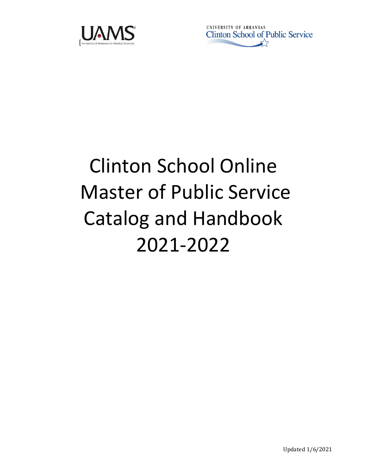

UNIVERSITY OF ARKANSAS Clinton School of Public Service

# Clinton School Online Master of Public Service Catalog and Handbook 2021-2022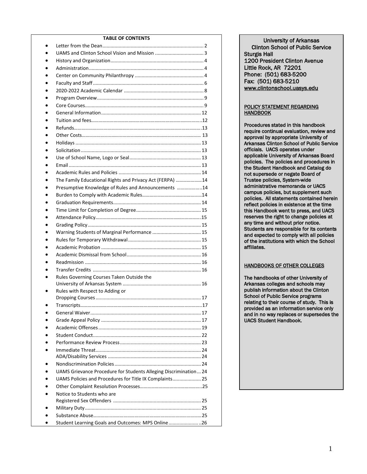#### **TABLE OF CONTENTS**

| The Family Educational Rights and Privacy Act (FERPA) 14         |
|------------------------------------------------------------------|
| Presumptive Knowledge of Rules and Announcements 14              |
|                                                                  |
|                                                                  |
|                                                                  |
|                                                                  |
|                                                                  |
|                                                                  |
|                                                                  |
|                                                                  |
|                                                                  |
|                                                                  |
|                                                                  |
| Rules Governing Courses Taken Outside the                        |
|                                                                  |
| Rules with Respect to Adding or                                  |
|                                                                  |
|                                                                  |
|                                                                  |
|                                                                  |
|                                                                  |
|                                                                  |
|                                                                  |
|                                                                  |
|                                                                  |
|                                                                  |
| UAMS Grievance Procedure for Students Alleging Discrimination 24 |
| UAMS Policies and Procedures for Title IX Complaints 25          |
|                                                                  |
| Notice to Students who are                                       |
|                                                                  |
|                                                                  |
|                                                                  |
| Student Learning Goals and Outcomes: MPS Online26                |

University of Arkansas Clinton School of Public Service Sturgis Hall 1200 President Clinton Avenue Little Rock, AR 72201 Phone: (501) 683-5200 Fax: (501) 683-5210 [www.clintonschool.uasys.edu](http://www.clintonschool.uasys.edu/) 

#### POLICY STATEMENT REGARDING **HANDBOOK**

Procedures stated in this handbook require continual evaluation, review and approval by appropriate University of Arkansas Clinton School of Public Service officials. UACS operates under applicable University of Arkansas Board policies. The policies and procedures in the Student Handbook and Catalog do not supersede or negate Board of Trustee policies, System-wide administrative memoranda or UACS campus policies, but supplement such policies. All statements contained herein reflect policies in existence at the time this Handbook went to press, and UACS reserves the right to change policies at any time and without prior notice. Students are responsible for its contents and expected to comply with all policies of the institutions with which the School affiliates.

#### HANDBOOKS OF OTHER COLLEGES

The handbooks of other University of Arkansas colleges and schools may publish information about the Clinton School of Public Service programs relating to their course of study. This is provided as an information service only and in no way replaces or supersedes the UACS Student Handbook.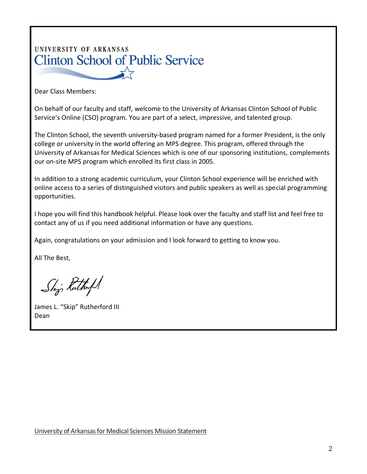# UNIVERSITY OF ARKANSAS **Clinton School of Public Service** February 3, 2021

Dear Class Members:

On behalf of our faculty and staff, welcome to the University of Arkansas Clinton School of Public Service's Online (CSO) program. You are part of a select, impressive, and talented group.

The Clinton School, the seventh university-based program named for a former President, is the only college or university in the world offering an MPS degree. This program, offered through the University of Arkansas for Medical Sciences which is one of our sponsoring institutions, complements our on-site MPS program which enrolled its first class in 2005.

In addition to a strong academic curriculum, your Clinton School experience will be enriched with online access to a series of distinguished visitors and public speakers as well as special programming opportunities.

I hope you will find this handbook helpful. Please look over the faculty and staff list and feel free to contact any of us if you need additional information or have any questions.

Again, congratulations on your admission and I look forward to getting to know you.

All The Best,

Shj. Kuthoft

James L. "Skip" Rutherford III Dean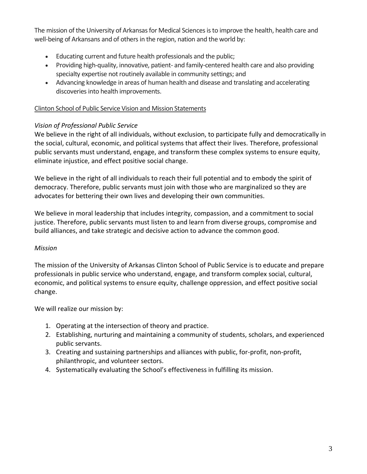The mission of the University of Arkansas for Medical Sciences is to improve the health, health care and well-being of Arkansans and of others in the region, nation and the world by:

- Educating current and future health professionals and the public;
- Providing high-quality, innovative, patient- and family-centered health care and also providing specialty expertise not routinely available in community settings; and
- Advancing knowledge in areas of human health and disease and translating and accelerating discoveries into health improvements.

#### Clinton School of Public Service Vision and Mission Statements

# *Vision of Professional Public Service*

We believe in the right of all individuals, without exclusion, to participate fully and democratically in the social, cultural, economic, and political systems that affect their lives. Therefore, professional public servants must understand, engage, and transform these complex systems to ensure equity, eliminate injustice, and effect positive social change.

We believe in the right of all individuals to reach their full potential and to embody the spirit of democracy. Therefore, public servants must join with those who are marginalized so they are advocates for bettering their own lives and developing their own communities.

We believe in moral leadership that includes integrity, compassion, and a commitment to social justice. Therefore, public servants must listen to and learn from diverse groups, compromise and build alliances, and take strategic and decisive action to advance the common good.

#### *Mission*

The mission of the University of Arkansas Clinton School of Public Service is to educate and prepare professionals in public service who understand, engage, and transform complex social, cultural, economic, and political systems to ensure equity, challenge oppression, and effect positive social change.

We will realize our mission by:

- 1. Operating at the intersection of theory and practice.
- 2. Establishing, nurturing and maintaining a community of students, scholars, and experienced public servants.
- 3. Creating and sustaining partnerships and alliances with public, for-profit, non-profit, philanthropic, and volunteer sectors.
- 4. Systematically evaluating the School's effectiveness in fulfilling its mission.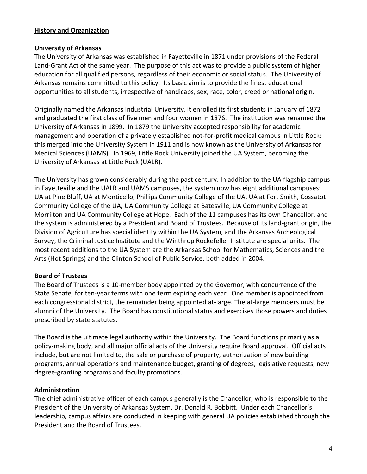#### **History and Organization**

#### **University of Arkansas**

The University of Arkansas was established in Fayetteville in 1871 under provisions of the Federal Land-Grant Act of the same year. The purpose of this act was to provide a public system of higher education for all qualified persons, regardless of their economic or social status. The University of Arkansas remains committed to this policy. Its basic aim is to provide the finest educational opportunities to all students, irrespective of handicaps, sex, race, color, creed or national origin.

Originally named the Arkansas Industrial University, it enrolled its first students in January of 1872 and graduated the first class of five men and four women in 1876. The institution was renamed the University of Arkansas in 1899. In 1879 the University accepted responsibility for academic management and operation of a privately established not-for-profit medical campus in Little Rock; this merged into the University System in 1911 and is now known as the University of Arkansas for Medical Sciences (UAMS). In 1969, Little Rock University joined the UA System, becoming the University of Arkansas at Little Rock (UALR).

The University has grown considerably during the past century. In addition to the UA flagship campus in Fayetteville and the UALR and UAMS campuses, the system now has eight additional campuses: UA at Pine Bluff, UA at Monticello, Phillips Community College of the UA, UA at Fort Smith, Cossatot Community College of the UA, UA Community College at Batesville, UA Community College at Morrilton and UA Community College at Hope. Each of the 11 campuses has its own Chancellor, and the system is administered by a President and Board of Trustees. Because of its land-grant origin, the Division of Agriculture has special identity within the UA System, and the Arkansas Archeological Survey, the Criminal Justice Institute and the Winthrop Rockefeller Institute are special units. The most recent additions to the UA System are the Arkansas School for Mathematics, Sciences and the Arts (Hot Springs) and the Clinton School of Public Service, both added in 2004.

#### **Board of Trustees**

The Board of Trustees is a 10-member body appointed by the Governor, with concurrence of the State Senate, for ten-year terms with one term expiring each year. One member is appointed from each congressional district, the remainder being appointed at-large. The at-large members must be alumni of the University. The Board has constitutional status and exercises those powers and duties prescribed by state statutes.

The Board is the ultimate legal authority within the University. The Board functions primarily as a policy-making body, and all major official acts of the University require Board approval. Official acts include, but are not limited to, the sale or purchase of property, authorization of new building programs, annual operations and maintenance budget, granting of degrees, legislative requests, new degree-granting programs and faculty promotions.

#### **Administration**

The chief administrative officer of each campus generally is the Chancellor, who is responsible to the President of the University of Arkansas System, Dr. Donald R. Bobbitt. Under each Chancellor's leadership, campus affairs are conducted in keeping with general UA policies established through the President and the Board of Trustees.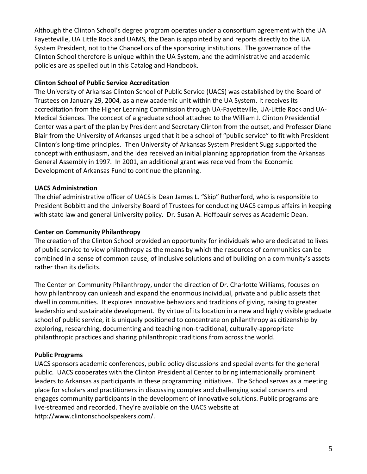Although the Clinton School's degree program operates under a consortium agreement with the UA Fayetteville, UA Little Rock and UAMS, the Dean is appointed by and reports directly to the UA System President, not to the Chancellors of the sponsoring institutions. The governance of the Clinton School therefore is unique within the UA System, and the administrative and academic policies are as spelled out in this Catalog and Handbook.

#### **Clinton School of Public Service Accreditation**

The University of Arkansas Clinton School of Public Service (UACS) was established by the Board of Trustees on January 29, 2004, as a new academic unit within the UA System. It receives its accreditation from the Higher Learning Commission through UA-Fayetteville, UA-Little Rock and UA-Medical Sciences. The concept of a graduate school attached to the William J. Clinton Presidential Center was a part of the plan by President and Secretary Clinton from the outset, and Professor Diane Blair from the University of Arkansas urged that it be a school of "public service" to fit with President Clinton's long-time principles. Then University of Arkansas System President Sugg supported the concept with enthusiasm, and the idea received an initial planning appropriation from the Arkansas General Assembly in 1997. In 2001, an additional grant was received from the Economic Development of Arkansas Fund to continue the planning.

# **UACS Administration**

The chief administrative officer of UACS is Dean James L. "Skip" Rutherford, who is responsible to President Bobbitt and the University Board of Trustees for conducting UACS campus affairs in keeping with state law and general University policy. Dr. Susan A. Hoffpauir serves as Academic Dean.

# **Center on Community Philanthropy**

The creation of the Clinton School provided an opportunity for individuals who are dedicated to lives of public service to view philanthropy as the means by which the resources of communities can be combined in a sense of common cause, of inclusive solutions and of building on a community's assets rather than its deficits.

The Center on Community Philanthropy, under the direction of Dr. Charlotte Williams, focuses on how philanthropy can unleash and expand the enormous individual, private and public assets that dwell in communities. It explores innovative behaviors and traditions of giving, raising to greater leadership and sustainable development. By virtue of its location in a new and highly visible graduate school of public service, it is uniquely positioned to concentrate on philanthropy as citizenship by exploring, researching, documenting and teaching non-traditional, culturally-appropriate philanthropic practices and sharing philanthropic traditions from across the world.

# **Public Programs**

UACS sponsors academic conferences, public policy discussions and special events for the general public. UACS cooperates with the Clinton Presidential Center to bring internationally prominent leaders to Arkansas as participants in these programming initiatives. The School serves as a meeting place for scholars and practitioners in discussing complex and challenging social concerns and engages community participants in the development of innovative solutions. Public programs are live-streamed and recorded. They're available on the UACS website at http://www.clintonschoolspeakers.com/.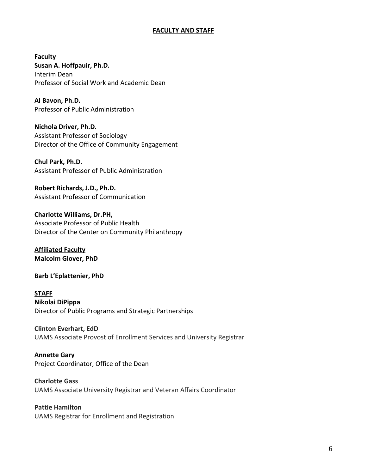#### **FACULTY AND STAFF**

**Faculty Susan A. Hoffpauir, Ph.D.** Interim Dean Professor of Social Work and Academic Dean

**Al Bavon, Ph.D.** Professor of Public Administration

**Nichola Driver, Ph.D.** Assistant Professor of Sociology Director of the Office of Community Engagement

**Chul Park, Ph.D.** Assistant Professor of Public Administration

**Robert Richards, J.D., Ph.D.** Assistant Professor of Communication

**Charlotte Williams, Dr.PH,**  Associate Professor of Public Health Director of the Center on Community Philanthropy

**Affiliated Faculty Malcolm Glover, PhD**

**Barb L'Eplattenier, PhD**

**STAFF Nikolai DiPippa** Director of Public Programs and Strategic Partnerships

**Clinton Everhart, EdD** UAMS Associate Provost of Enrollment Services and University Registrar

**Annette Gary** Project Coordinator, Office of the Dean

**Charlotte Gass** UAMS Associate University Registrar and Veteran Affairs Coordinator

**Pattie Hamilton** UAMS Registrar for Enrollment and Registration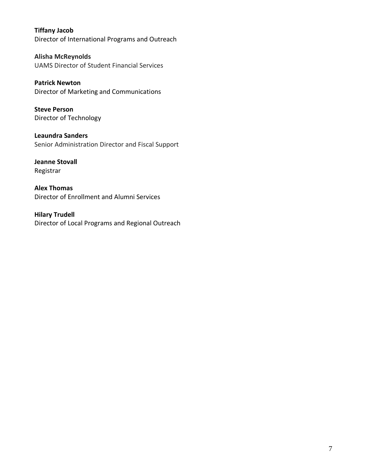**Tiffany Jacob** Director of International Programs and Outreach

**Alisha McReynolds** UAMS Director of Student Financial Services

**Patrick Newton** Director of Marketing and Communications

**Steve Person** Director of Technology

**Leaundra Sanders** Senior Administration Director and Fiscal Support

**Jeanne Stovall** Registrar

**Alex Thomas** Director of Enrollment and Alumni Services

**Hilary Trudell** Director of Local Programs and Regional Outreach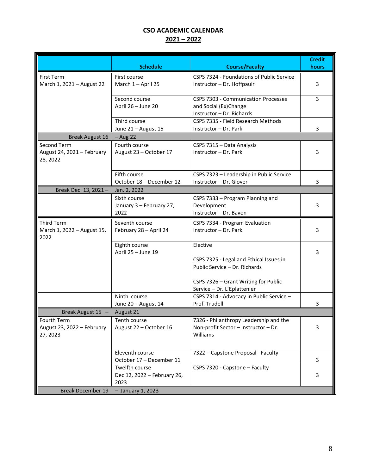# **CSO ACADEMIC CALENDAR 2021 – 2022**

|                                                              | <b>Schedule</b>                                       | <b>Course/Faculty</b>                                                                                                                                       | <b>Credit</b><br>hours |
|--------------------------------------------------------------|-------------------------------------------------------|-------------------------------------------------------------------------------------------------------------------------------------------------------------|------------------------|
| First Term<br>March 1, 2021 - August 22                      | First course<br>March 1 - April 25                    | CSPS 7324 - Foundations of Public Service<br>Instructor - Dr. Hoffpauir                                                                                     | 3                      |
|                                                              | Second course<br>April 26 - June 20                   | CSPS 7303 - Communication Processes<br>and Social (Ex)Change<br>Instructor - Dr. Richards                                                                   | 3                      |
|                                                              | Third course<br>June 21 - August 15                   | CSPS 7335 - Field Research Methods<br>Instructor - Dr. Park                                                                                                 | 3                      |
| <b>Break August 16</b>                                       | $-$ Aug 22                                            |                                                                                                                                                             |                        |
| Second Term<br>August 24, 2021 - February<br>28, 2022        | Fourth course<br>August 23 - October 17               | CSPS 7315 - Data Analysis<br>Instructor - Dr. Park                                                                                                          | 3                      |
|                                                              | Fifth course<br>October 18 - December 12              | CSPS 7323 - Leadership in Public Service<br>Instructor - Dr. Glover                                                                                         | 3                      |
| Break Dec. 13, 2021-                                         | Jan. 2, 2022                                          |                                                                                                                                                             |                        |
|                                                              | Sixth course<br>January 3 - February 27,<br>2022      | CSPS 7333 - Program Planning and<br>Development<br>Instructor - Dr. Bavon                                                                                   | 3                      |
| <b>Third Term</b><br>March 1, 2022 - August 15,<br>2022      | Seventh course<br>February 28 - April 24              | CSPS 7334 - Program Evaluation<br>Instructor - Dr. Park                                                                                                     | 3                      |
|                                                              | Eighth course<br>April 25 - June 19                   | Elective<br>CSPS 7325 - Legal and Ethical Issues in<br>Public Service - Dr. Richards<br>CSPS 7326 - Grant Writing for Public<br>Service - Dr. L'Eplattenier | 3                      |
|                                                              | Ninth course                                          | CSPS 7314 - Advocacy in Public Service -                                                                                                                    |                        |
|                                                              | June 20 - August 14                                   | Prof. Trudell                                                                                                                                               | 3                      |
| Break August 15 -<br>August 21                               |                                                       |                                                                                                                                                             |                        |
| <b>Fourth Term</b><br>August 23, 2022 - February<br>27, 2023 | Tenth course<br>August 22 - October 16                | 7326 - Philanthropy Leadership and the<br>Non-profit Sector - Instructor - Dr.<br>Williams                                                                  | 3                      |
|                                                              | Eleventh course<br>October 17 - December 11           | 7322 - Capstone Proposal - Faculty                                                                                                                          | 3                      |
|                                                              | Twelfth course<br>Dec 12, 2022 - February 26,<br>2023 | CSPS 7320 - Capstone - Faculty                                                                                                                              | 3                      |
| <b>Break December 19</b>                                     | $-$ January 1, 2023                                   |                                                                                                                                                             |                        |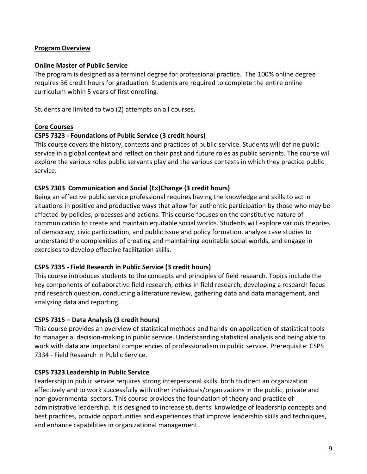#### **Program Overview**

#### **Online Master of Public Service**

The program is designed as a terminal degree for professional practice. The 100% online degree requires 36 credit hours for graduation. Students are required to complete the entire online curriculum within 5 years of first enrolling.

Students are limited to two (2) attempts on all courses.

# **Core Courses**

#### **CSPS 7323 - Foundations of Public Service (3 credit hours)**

This course covers the history, contexts and practices of public service. Students will define public service in a global context and reflect on their past and future roles as public servants. The course will explore the various roles public servants play and the various contexts in which they practice public service.

#### **CSPS 7303 Communication and Social (Ex)Change (3 credit hours)**

Being an effective public service professional requires having the knowledge and skills to act in situations in positive and productive ways that allow for authentic participation by those who may be affected by policies, processes and actions. This course focuses on the constitutive nature of communication to create and maintain equitable social worlds. Students will explore various theories of democracy, civic participation, and public issue and policy formation, analyze case studies to understand the complexities of creating and maintaining equitable social worlds, and engage in exercises to develop effective facilitation skills.

#### **CSPS 7335 - Field Research in Public Service (3 credit hours)**

This course introduces students to the concepts and principles of field research. Topics include the key components of collaborative field research, ethics in field research, developing a research focus and research question, conducting a literature review, gathering data and data management, and analyzing data and reporting.

# **CSPS 7315 – Data Analysis (3 credit hours)**

This course provides an overview of statistical methods and hands-on application of statistical tools to managerial decision-making in public service. Understanding statistical analysis and being able to work with data are important competencies of professionalism in public service. Prerequisite: CSPS 7334 - Field Research in Public Service.

#### **CSPS 7323 Leadership in Public Service**

Leadership in public service requires strong interpersonal skills, both to direct an organization effectively and to work successfully with other individuals/organizations in the public, private and non-governmental sectors. This course provides the foundation of theory and practice of administrative leadership. It is designed to increase students' knowledge of leadership concepts and best practices, provide opportunities and experiences that improve leadership skills and techniques, and enhance capabilities in organizational management.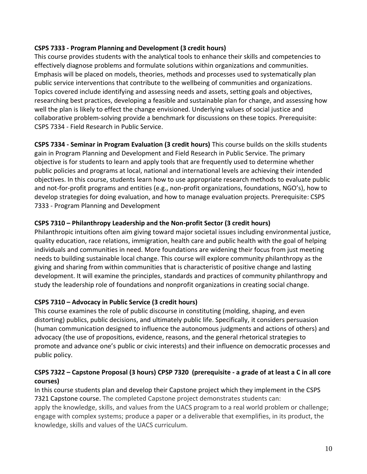#### **CSPS 7333 - Program Planning and Development (3 credit hours)**

This course provides students with the analytical tools to enhance their skills and competencies to effectively diagnose problems and formulate solutions within organizations and communities. Emphasis will be placed on models, theories, methods and processes used to systematically plan public service interventions that contribute to the wellbeing of communities and organizations. Topics covered include identifying and assessing needs and assets, setting goals and objectives, researching best practices, developing a feasible and sustainable plan for change, and assessing how well the plan is likely to effect the change envisioned. Underlying values of social justice and collaborative problem-solving provide a benchmark for discussions on these topics. Prerequisite: CSPS 7334 - Field Research in Public Service.

**CSPS 7334 - Seminar in Program Evaluation (3 credit hours)** This course builds on the skills students gain in Program Planning and Development and Field Research in Public Service. The primary objective is for students to learn and apply tools that are frequently used to determine whether public policies and programs at local, national and international levels are achieving their intended objectives. In this course, students learn how to use appropriate research methods to evaluate public and not-for-profit programs and entities (e.g., non-profit organizations, foundations, NGO's), how to develop strategies for doing evaluation, and how to manage evaluation projects. Prerequisite: CSPS 7333 - Program Planning and Development

# **CSPS 7310 – Philanthropy Leadership and the Non-profit Sector (3 credit hours)**

Philanthropic intuitions often aim giving toward major societal issues including environmental justice, quality education, race relations, immigration, health care and public health with the goal of helping individuals and communities in need. More foundations are widening their focus from just meeting needs to building sustainable local change. This course will explore community philanthropy as the giving and sharing from within communities that is characteristic of positive change and lasting development. It will examine the principles, standards and practices of community philanthropy and study the leadership role of foundations and nonprofit organizations in creating social change.

# **CSPS 7310 – Advocacy in Public Service (3 credit hours)**

This course examines the role of public discourse in constituting (molding, shaping, and even distorting) publics, public decisions, and ultimately public life. Specifically, it considers persuasion (human communication designed to influence the autonomous judgments and actions of others) and advocacy (the use of propositions, evidence, reasons, and the general rhetorical strategies to promote and advance one's public or civic interests) and their influence on democratic processes and public policy.

# **CSPS 7322 – Capstone Proposal (3 hours) CPSP 7320 (prerequisite - a grade of at least a C in all core courses)**

In this course students plan and develop their Capstone project which they implement in the CSPS 7321 Capstone course. The completed Capstone project demonstrates students can: apply the knowledge, skills, and values from the UACS program to a real world problem or challenge; engage with complex systems; produce a paper or a deliverable that exemplifies, in its product, the knowledge, skills and values of the UACS curriculum.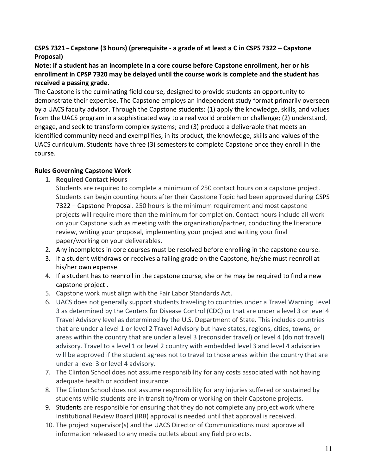# **CSPS 7321** – **Capstone (3 hours) (prerequisite - a grade of at least a C in CSPS 7322 – Capstone Proposal)**

#### **Note: If a student has an incomplete in a core course before Capstone enrollment, her or his enrollment in CPSP 7320 may be delayed until the course work is complete and the student has received a passing grade.**

The Capstone is the culminating field course, designed to provide students an opportunity to demonstrate their expertise. The Capstone employs an independent study format primarily overseen by a UACS faculty advisor. Through the Capstone students: (1) apply the knowledge, skills, and values from the UACS program in a sophisticated way to a real world problem or challenge; (2) understand, engage, and seek to transform complex systems; and (3) produce a deliverable that meets an identified community need and exemplifies, in its product, the knowledge, skills and values of the UACS curriculum. Students have three (3) semesters to complete Capstone once they enroll in the course.

#### **Rules Governing Capstone Work**

# **1. Required Contact Hours**

Students are required to complete a minimum of 250 contact hours on a capstone project. Students can begin counting hours after their Capstone Topic had been approved during CSPS 7322 – Capstone Proposal. 250 hours is the minimum requirement and most capstone projects will require more than the minimum for completion. Contact hours include all work on your Capstone such as meeting with the organization/partner, conducting the literature review, writing your proposal, implementing your project and writing your final paper/working on your deliverables.

- 2. Any incompletes in core courses must be resolved before enrolling in the capstone course.
- 3. If a student withdraws or receives a failing grade on the Capstone, he/she must reenroll at his/her own expense.
- 4. If a student has to reenroll in the capstone course, she or he may be required to find a new capstone project .
- 5. Capstone work must align with the Fair Labor Standards Act.
- 6. UACS does not generally support students traveling to countries under a Travel Warning Level 3 as determined by the Centers for Disease Control (CDC) or that are under a level 3 or level 4 Travel Advisory level as determined by the U.S. Department of State. This includes countries that are under a level 1 or level 2 Travel Advisory but have states, regions, cities, towns, or areas within the country that are under a level 3 (reconsider travel) or level 4 (do not travel) advisory. Travel to a level 1 or level 2 country with embedded level 3 and level 4 advisories will be approved if the student agrees not to travel to those areas within the country that are under a level 3 or level 4 advisory.
- 7. The Clinton School does not assume responsibility for any costs associated with not having adequate health or accident insurance.
- 8. The Clinton School does not assume responsibility for any injuries suffered or sustained by students while students are in transit to/from or working on their Capstone projects.
- 9. Students are responsible for ensuring that they do not complete any project work where Institutional Review Board (IRB) approval is needed until that approval is received.
- 10. The project supervisor(s) and the UACS Director of Communications must approve all information released to any media outlets about any field projects.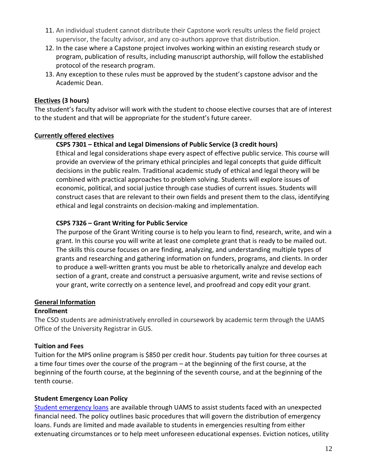- 11. An individual student cannot distribute their Capstone work results unless the field project supervisor, the faculty advisor, and any co-authors approve that distribution.
- 12. In the case where a Capstone project involves working within an existing research study or program, publication of results, including manuscript authorship, will follow the established protocol of the research program.
- 13. Any exception to these rules must be approved by the student's capstone advisor and the Academic Dean.

#### **Electives (3 hours)**

The student's faculty advisor will work with the student to choose elective courses that are of interest to the student and that will be appropriate for the student's future career.

#### **Currently offered electives**

# **CSPS 7301 – Ethical and Legal Dimensions of Public Service (3 credit hours)**

Ethical and legal considerations shape every aspect of effective public service. This course will provide an overview of the primary ethical principles and legal concepts that guide difficult decisions in the public realm. Traditional academic study of ethical and legal theory will be combined with practical approaches to problem solving. Students will explore issues of economic, political, and social justice through case studies of current issues. Students will construct cases that are relevant to their own fields and present them to the class, identifying ethical and legal constraints on decision-making and implementation.

# **CSPS 7326 – Grant Writing for Public Service**

The purpose of the Grant Writing course is to help you learn to find, research, write, and win a grant. In this course you will write at least one complete grant that is ready to be mailed out. The skills this course focuses on are finding, analyzing, and understanding multiple types of grants and researching and gathering information on funders, programs, and clients. In order to produce a well‐written grants you must be able to rhetorically analyze and develop each section of a grant, create and construct a persuasive argument, write and revise sections of your grant, write correctly on a sentence level, and proofread and copy edit your grant.

#### **General Information**

#### **Enrollment**

The CSO students are administratively enrolled in coursework by academic term through the UAMS Office of the University Registrar in GUS.

# **Tuition and Fees**

Tuition for the MPS online program is \$850 per credit hour. Students pay tuition for three courses at a time four times over the course of the program – at the beginning of the first course, at the beginning of the fourth course, at the beginning of the seventh course, and at the beginning of the tenth course.

#### **Student Emergency Loan Policy**

[Student emergency loans](https://studentfinancialservices.uams.edu/awards-division/emergency-loans/) are available through UAMS to assist students faced with an unexpected financial need. The policy outlines basic procedures that will govern the distribution of emergency loans. Funds are limited and made available to students in emergencies resulting from either extenuating circumstances or to help meet unforeseen educational expenses. Eviction notices, utility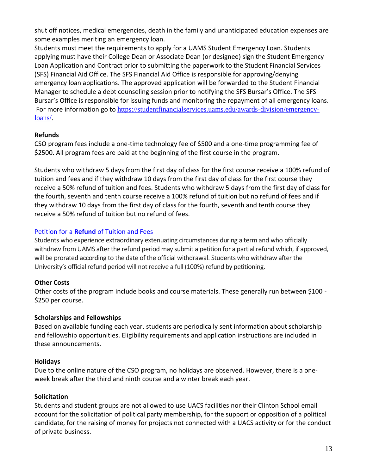shut off notices, medical emergencies, death in the family and unanticipated education expenses are some examples meriting an emergency loan.

Students must meet the requirements to apply for a UAMS Student Emergency Loan. Students applying must have their College Dean or Associate Dean (or designee) sign the Student Emergency Loan Application and Contract prior to submitting the paperwork to the Student Financial Services (SFS) Financial Aid Office. The SFS Financial Aid Office is responsible for approving/denying emergency loan applications. The approved application will be forwarded to the Student Financial Manager to schedule a debt counseling session prior to notifying the SFS Bursar's Office. The SFS Bursar's Office is responsible for issuing funds and monitoring the repayment of all emergency loans. For more information go to [https://studentfinancialservices.uams.edu/awards-division/emergency](https://studentfinancialservices.uams.edu/awards-division/emergency-loans/)[loans/.](https://studentfinancialservices.uams.edu/awards-division/emergency-loans/)

# **Refunds**

CSO program fees include a one-time technology fee of \$500 and a one-time programming fee of \$2500. All program fees are paid at the beginning of the first course in the program.

Students who withdraw 5 days from the first day of class for the first course receive a 100% refund of tuition and fees and if they withdraw 10 days from the first day of class for the first course they receive a 50% refund of tuition and fees. Students who withdraw 5 days from the first day of class for the fourth, seventh and tenth course receive a 100% refund of tuition but no refund of fees and if they withdraw 10 days from the first day of class for the fourth, seventh and tenth course they receive a 50% refund of tuition but no refund of fees.

# Petition for a **Refund** [of Tuition and Fees](https://www.uams.edu/google-search/?q=tuition+refund)

Students who experience extraordinary extenuating circumstances during a term and who officially withdraw from UAMS after the refund period may submit a petition for a partial refund which, if approved, will be prorated according to the date of the official withdrawal. Students who withdraw after the University's official refund period will not receive a full (100%) refund by petitioning.

# **Other Costs**

Other costs of the program include books and course materials. These generally run between \$100 - \$250 per course.

# **Scholarships and Fellowships**

Based on available funding each year, students are periodically sent information about scholarship and fellowship opportunities. Eligibility requirements and application instructions are included in these announcements.

# **Holidays**

Due to the online nature of the CSO program, no holidays are observed. However, there is a oneweek break after the third and ninth course and a winter break each year.

# **Solicitation**

Students and student groups are not allowed to use UACS facilities nor their Clinton School email account for the solicitation of political party membership, for the support or opposition of a political candidate, for the raising of money for projects not connected with a UACS activity or for the conduct of private business.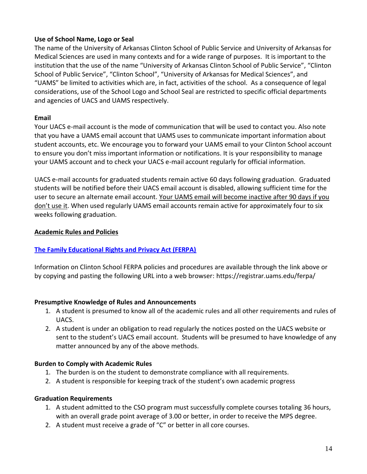# **Use of School Name, Logo or Seal**

The name of the University of Arkansas Clinton School of Public Service and University of Arkansas for Medical Sciences are used in many contexts and for a wide range of purposes. It is important to the institution that the use of the name "University of Arkansas Clinton School of Public Service", "Clinton School of Public Service", "Clinton School", "University of Arkansas for Medical Sciences", and "UAMS" be limited to activities which are, in fact, activities of the school. As a consequence of legal considerations, use of the School Logo and School Seal are restricted to specific official departments and agencies of UACS and UAMS respectively.

#### **Email**

Your UACS e-mail account is the mode of communication that will be used to contact you. Also note that you have a UAMS email account that UAMS uses to communicate important information about student accounts, etc. We encourage you to forward your UAMS email to your Clinton School account to ensure you don't miss important information or notifications. It is your responsibility to manage your UAMS account and to check your UACS e-mail account regularly for official information.

UACS e-mail accounts for graduated students remain active 60 days following graduation. Graduated students will be notified before their UACS email account is disabled, allowing sufficient time for the user to secure an alternate email account. Your UAMS email will become inactive after 90 days if you don't use it. When used regularly UAMS email accounts remain active for approximately four to six weeks following graduation.

# **Academic Rules and Policies**

# **[The Family Educational Rights and Privacy Act \(FERPA\)](https://registrar.uams.edu/ferpa/)**

Information on Clinton School FERPA policies and procedures are available through the link above or by copying and pasting the following URL into a web browser: https://registrar.uams.edu/ferpa/

#### **Presumptive Knowledge of Rules and Announcements**

- 1. A student is presumed to know all of the academic rules and all other requirements and rules of UACS.
- 2. A student is under an obligation to read regularly the notices posted on the UACS website or sent to the student's UACS email account. Students will be presumed to have knowledge of any matter announced by any of the above methods.

#### **Burden to Comply with Academic Rules**

- 1. The burden is on the student to demonstrate compliance with all requirements.
- 2. A student is responsible for keeping track of the student's own academic progress

#### **Graduation Requirements**

- 1. A student admitted to the CSO program must successfully complete courses totaling 36 hours, with an overall grade point average of 3.00 or better, in order to receive the MPS degree.
- 2. A student must receive a grade of "C" or better in all core courses.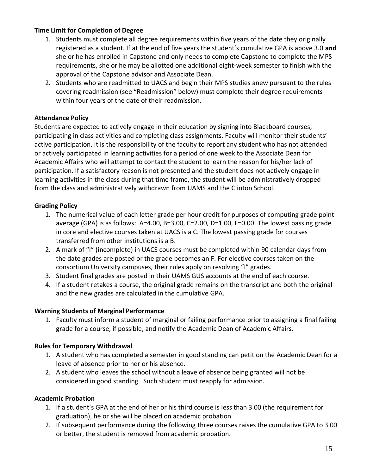#### **Time Limit for Completion of Degree**

- 1. Students must complete all degree requirements within five years of the date they originally registered as a student. If at the end of five years the student's cumulative GPA is above 3.0 **and** she or he has enrolled in Capstone and only needs to complete Capstone to complete the MPS requirements, she or he may be allotted one additional eight-week semester to finish with the approval of the Capstone advisor and Associate Dean.
- 2. Students who are readmitted to UACS and begin their MPS studies anew pursuant to the rules covering readmission (see "Readmission" below) must complete their degree requirements within four years of the date of their readmission.

#### **Attendance Policy**

Students are expected to actively engage in their education by signing into Blackboard courses, participating in class activities and completing class assignments. Faculty will monitor their students' active participation. It is the responsibility of the faculty to report any student who has not attended or actively participated in learning activities for a period of one week to the Associate Dean for Academic Affairs who will attempt to contact the student to learn the reason for his/her lack of participation. If a satisfactory reason is not presented and the student does not actively engage in learning activities in the class during that time frame, the student will be administratively dropped from the class and administratively withdrawn from UAMS and the Clinton School.

# **Grading Policy**

- 1. The numerical value of each letter grade per hour credit for purposes of computing grade point average (GPA) is as follows: A=4.00, B=3.00, C=2.00, D=1.00, F=0.00. The lowest passing grade in core and elective courses taken at UACS is a C. The lowest passing grade for courses transferred from other institutions is a B.
- 2. A mark of "I" (incomplete) in UACS courses must be completed within 90 calendar days from the date grades are posted or the grade becomes an F. For elective courses taken on the consortium University campuses, their rules apply on resolving "I" grades.
- 3. Student final grades are posted in their UAMS GUS accounts at the end of each course.
- 4. If a student retakes a course, the original grade remains on the transcript and both the original and the new grades are calculated in the cumulative GPA.

#### **Warning Students of Marginal Performance**

1. Faculty must inform a student of marginal or failing performance prior to assigning a final failing grade for a course, if possible, and notify the Academic Dean of Academic Affairs.

#### **Rules for Temporary Withdrawal**

- 1. A student who has completed a semester in good standing can petition the Academic Dean for a leave of absence prior to her or his absence.
- 2. A student who leaves the school without a leave of absence being granted will not be considered in good standing. Such student must reapply for admission.

#### **Academic Probation**

- 1. If a student's GPA at the end of her or his third course is less than 3.00 (the requirement for graduation), he or she will be placed on academic probation.
- 2. If subsequent performance during the following three courses raises the cumulative GPA to 3.00 or better, the student is removed from academic probation.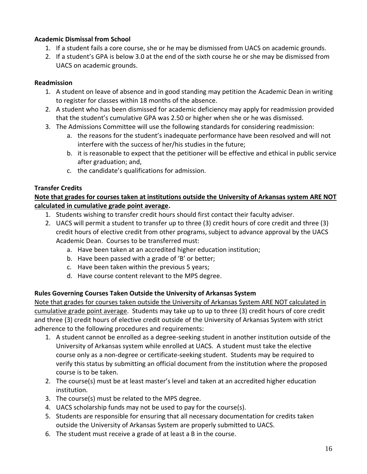# **Academic Dismissal from School**

- 1. If a student fails a core course, she or he may be dismissed from UACS on academic grounds.
- 2. If a student's GPA is below 3.0 at the end of the sixth course he or she may be dismissed from UACS on academic grounds.

#### **Readmission**

- 1. A student on leave of absence and in good standing may petition the Academic Dean in writing to register for classes within 18 months of the absence.
- 2. A student who has been dismissed for academic deficiency may apply for readmission provided that the student's cumulative GPA was 2.50 or higher when she or he was dismissed.
- 3. The Admissions Committee will use the following standards for considering readmission:
	- a. the reasons for the student's inadequate performance have been resolved and will not interfere with the success of her/his studies in the future;
	- b. it is reasonable to expect that the petitioner will be effective and ethical in public service after graduation; and,
	- c. the candidate's qualifications for admission.

# **Transfer Credits**

# **Note that grades for courses taken at institutions outside the University of Arkansas system ARE NOT calculated in cumulative grade point average.**

- 1. Students wishing to transfer credit hours should first contact their faculty adviser.
- 2. UACS will permit a student to transfer up to three (3) credit hours of core credit and three (3) credit hours of elective credit from other programs, subject to advance approval by the UACS Academic Dean. Courses to be transferred must:
	- a. Have been taken at an accredited higher education institution;
	- b. Have been passed with a grade of 'B' or better;
	- c. Have been taken within the previous 5 years;
	- d. Have course content relevant to the MPS degree.

# **Rules Governing Courses Taken Outside the University of Arkansas System**

Note that grades for courses taken outside the University of Arkansas System ARE NOT calculated in cumulative grade point average. Students may take up to up to three (3) credit hours of core credit and three (3) credit hours of elective credit outside of the University of Arkansas System with strict adherence to the following procedures and requirements:

- 1. A student cannot be enrolled as a degree-seeking student in another institution outside of the University of Arkansas system while enrolled at UACS. A student must take the elective course only as a non-degree or certificate-seeking student. Students may be required to verify this status by submitting an official document from the institution where the proposed course is to be taken.
- 2. The course(s) must be at least master's level and taken at an accredited higher education institution.
- 3. The course(s) must be related to the MPS degree.
- 4. UACS scholarship funds may not be used to pay for the course(s).
- 5. Students are responsible for ensuring that all necessary documentation for credits taken outside the University of Arkansas System are properly submitted to UACS.
- 6. The student must receive a grade of at least a B in the course.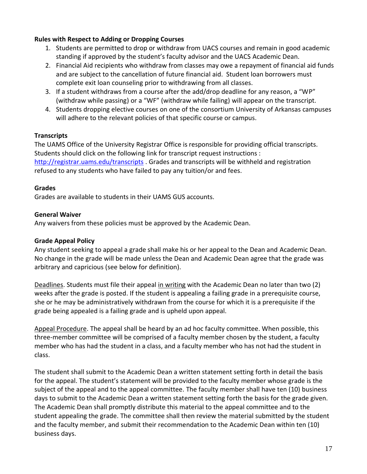#### **Rules with Respect to Adding or Dropping Courses**

- 1. Students are permitted to drop or withdraw from UACS courses and remain in good academic standing if approved by the student's faculty advisor and the UACS Academic Dean.
- 2. Financial Aid recipients who withdraw from classes may owe a repayment of financial aid funds and are subject to the cancellation of future financial aid. Student loan borrowers must complete exit loan counseling prior to withdrawing from all classes.
- 3. If a student withdraws from a course after the add/drop deadline for any reason, a "WP" (withdraw while passing) or a "WF" (withdraw while failing) will appear on the transcript.
- 4. Students dropping elective courses on one of the consortium University of Arkansas campuses will adhere to the relevant policies of that specific course or campus.

#### **Transcripts**

The UAMS Office of the University Registrar Office is responsible for providing official transcripts. Students should click on the following link for transcript request instructions : <http://registrar.uams.edu/transcripts> . Grades and transcripts will be withheld and registration refused to any students who have failed to pay any tuition/or and fees.

#### **Grades**

Grades are available to students in their UAMS GUS accounts.

#### **General Waiver**

Any waivers from these policies must be approved by the Academic Dean.

#### **Grade Appeal Policy**

Any student seeking to appeal a grade shall make his or her appeal to the Dean and Academic Dean. No change in the grade will be made unless the Dean and Academic Dean agree that the grade was arbitrary and capricious (see below for definition).

Deadlines. Students must file their appeal in writing with the Academic Dean no later than two (2) weeks after the grade is posted. If the student is appealing a failing grade in a prerequisite course, she or he may be administratively withdrawn from the course for which it is a prerequisite if the grade being appealed is a failing grade and is upheld upon appeal.

Appeal Procedure. The appeal shall be heard by an ad hoc faculty committee. When possible, this three-member committee will be comprised of a faculty member chosen by the student, a faculty member who has had the student in a class, and a faculty member who has not had the student in class.

The student shall submit to the Academic Dean a written statement setting forth in detail the basis for the appeal. The student's statement will be provided to the faculty member whose grade is the subject of the appeal and to the appeal committee. The faculty member shall have ten (10) business days to submit to the Academic Dean a written statement setting forth the basis for the grade given. The Academic Dean shall promptly distribute this material to the appeal committee and to the student appealing the grade. The committee shall then review the material submitted by the student and the faculty member, and submit their recommendation to the Academic Dean within ten (10) business days.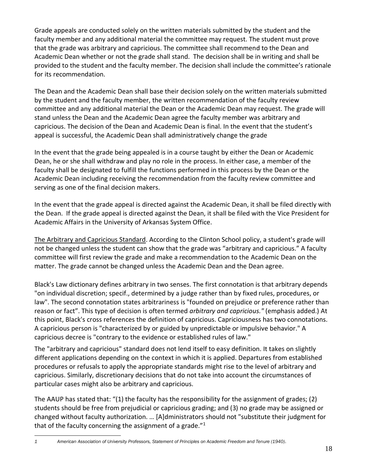Grade appeals are conducted solely on the written materials submitted by the student and the faculty member and any additional material the committee may request. The student must prove that the grade was arbitrary and capricious. The committee shall recommend to the Dean and Academic Dean whether or not the grade shall stand. The decision shall be in writing and shall be provided to the student and the faculty member. The decision shall include the committee's rationale for its recommendation.

The Dean and the Academic Dean shall base their decision solely on the written materials submitted by the student and the faculty member, the written recommendation of the faculty review committee and any additional material the Dean or the Academic Dean may request. The grade will stand unless the Dean and the Academic Dean agree the faculty member was arbitrary and capricious. The decision of the Dean and Academic Dean is final. In the event that the student's appeal is successful, the Academic Dean shall administratively change the grade

In the event that the grade being appealed is in a course taught by either the Dean or Academic Dean, he or she shall withdraw and play no role in the process. In either case, a member of the faculty shall be designated to fulfill the functions performed in this process by the Dean or the Academic Dean including receiving the recommendation from the faculty review committee and serving as one of the final decision makers.

In the event that the grade appeal is directed against the Academic Dean, it shall be filed directly with the Dean. If the grade appeal is directed against the Dean, it shall be filed with the Vice President for Academic Affairs in the University of Arkansas System Office.

The Arbitrary and Capricious Standard. According to the Clinton School policy, a student's grade will not be changed unless the student can show that the grade was "arbitrary and capricious." A faculty committee will first review the grade and make a recommendation to the Academic Dean on the matter. The grade cannot be changed unless the Academic Dean and the Dean agree.

Black's Law dictionary defines arbitrary in two senses. The first connotation is that arbitrary depends "on individual discretion; specif., determined by a judge rather than by fixed rules, procedures, or law". The second connotation states arbitrariness is "founded on prejudice or preference rather than reason or fact". This type of decision is often termed *arbitrary and capricious."* (emphasis added.) At this point, Black's cross references the definition of capricious. Capriciousness has two connotations. A capricious person is "characterized by or guided by unpredictable or impulsive behavior." A capricious decree is "contrary to the evidence or established rules of law."

The "arbitrary and capricious" standard does not lend itself to easy definition. It takes on slightly different applications depending on the context in which it is applied. Departures from established procedures or refusals to apply the appropriate standards might rise to the level of arbitrary and capricious. Similarly, discretionary decisions that do not take into account the circumstances of particular cases might also be arbitrary and capricious.

The AAUP has stated that: "(1) the faculty has the responsibility for the assignment of grades; (2) students should be free from prejudicial or capricious grading; and (3) no grade may be assigned or changed without faculty authorization. … [A]dministrators should not "substitute their judgment for that of the faculty concerning the assignment of a grade."<sup>1</sup>

*<sup>1</sup> American Association of University Professors, Statement of Principles on Academic Freedom and Tenure (1940)*.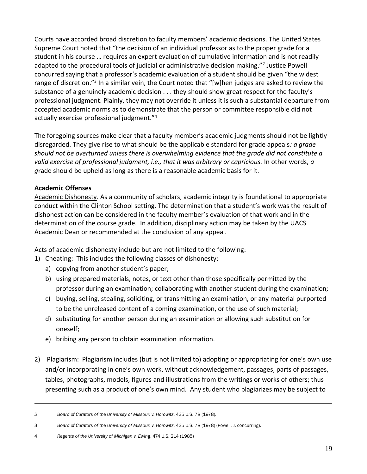Courts have accorded broad discretion to faculty members' academic decisions. The United States Supreme Court noted that "the decision of an individual professor as to the proper grade for a student in his course … requires an expert evaluation of cumulative information and is not readily adapted to the procedural tools of judicial or administrative decision making."<sup>2</sup> Justice Powell concurred saying that a professor's academic evaluation of a student should be given "the widest range of discretion."<sup>3</sup> In a similar vein, the Court noted that "[w]hen judges are asked to review the substance of a genuinely academic decision . . . they should show great respect for the faculty's professional judgment. Plainly, they may not override it unless it is such a substantial departure from accepted academic norms as to demonstrate that the person or committee responsible did not actually exercise professional judgment."<sup>4</sup>

The foregoing sources make clear that a faculty member's academic judgments should not be lightly disregarded. They give rise to what should be the applicable standard for grade appeals*: a grade should not be overturned unless there is overwhelming evidence that the grade did not constitute a valid exercise of professional judgment, i.e., that it was arbitrary or capricious.* In other words, *a g*rade should be upheld as long as there is a reasonable academic basis for it.

# **Academic Offenses**

Academic Dishonesty. As a community of scholars, academic integrity is foundational to appropriate conduct within the Clinton School setting. The determination that a student's work was the result of dishonest action can be considered in the faculty member's evaluation of that work and in the determination of the course grade. In addition, disciplinary action may be taken by the UACS Academic Dean or recommended at the conclusion of any appeal.

Acts of academic dishonesty include but are not limited to the following:

- 1) Cheating: This includes the following classes of dishonesty:
	- a) copying from another student's paper;
	- b) using prepared materials, notes, or text other than those specifically permitted by the professor during an examination; collaborating with another student during the examination;
	- c) buying, selling, stealing, soliciting, or transmitting an examination, or any material purported to be the unreleased content of a coming examination, or the use of such material;
	- d) substituting for another person during an examination or allowing such substitution for oneself;
	- e) bribing any person to obtain examination information.
- 2) Plagiarism: Plagiarism includes (but is not limited to) adopting or appropriating for one's own use and/or incorporating in one's own work, without acknowledgement, passages, parts of passages, tables, photographs, models, figures and illustrations from the writings or works of others; thus presenting such as a product of one's own mind. Any student who plagiarizes may be subject to

*<sup>2</sup> Board of Curators of the University of Missouri v. Horowitz*, 435 U.S. 78 (1978).

<sup>3</sup> *Board of Curators of the University of Missouri v. Horowitz*, 435 U.S. 78 (1978) (Powell, J. concurring).

<sup>4</sup> *Regents of the University of Michigan v. Ewing*, 474 U.S. 214 (1985)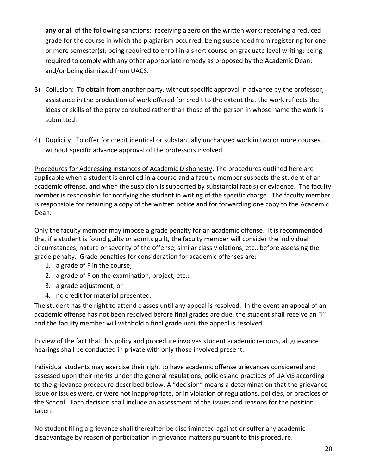**any or all** of the following sanctions: receiving a zero on the written work; receiving a reduced grade for the course in which the plagiarism occurred; being suspended from registering for one or more semester(s); being required to enroll in a short course on graduate level writing; being required to comply with any other appropriate remedy as proposed by the Academic Dean; and/or being dismissed from UACS.

- 3) Collusion: To obtain from another party, without specific approval in advance by the professor, assistance in the production of work offered for credit to the extent that the work reflects the ideas or skills of the party consulted rather than those of the person in whose name the work is submitted.
- 4) Duplicity: To offer for credit identical or substantially unchanged work in two or more courses, without specific advance approval of the professors involved.

Procedures for Addressing Instances of Academic Dishonesty. The procedures outlined here are applicable when a student is enrolled in a course and a faculty member suspects the student of an academic offense, and when the suspicion is supported by substantial fact(s) or evidence. The faculty member is responsible for notifying the student in writing of the specific charge. The faculty member is responsible for retaining a copy of the written notice and for forwarding one copy to the Academic Dean.

Only the faculty member may impose a grade penalty for an academic offense. It is recommended that if a student is found guilty or admits guilt, the faculty member will consider the individual circumstances, nature or severity of the offense, similar class violations, etc., before assessing the grade penalty. Grade penalties for consideration for academic offenses are:

- 1. a grade of F in the course;
- 2. a grade of F on the examination, project, etc.;
- 3. a grade adjustment; or
- 4. no credit for material presented.

The student has the right to attend classes until any appeal is resolved. In the event an appeal of an academic offense has not been resolved before final grades are due, the student shall receive an "I" and the faculty member will withhold a final grade until the appeal is resolved.

In view of the fact that this policy and procedure involves student academic records, all grievance hearings shall be conducted in private with only those involved present.

Individual students may exercise their right to have academic offense grievances considered and assessed upon their merits under the general regulations, policies and practices of UAMS according to the grievance procedure described below. A "decision" means a determination that the grievance issue or issues were, or were not inappropriate, or in violation of regulations, policies, or practices of the School. Each decision shall include an assessment of the issues and reasons for the position taken.

No student filing a grievance shall thereafter be discriminated against or suffer any academic disadvantage by reason of participation in grievance matters pursuant to this procedure.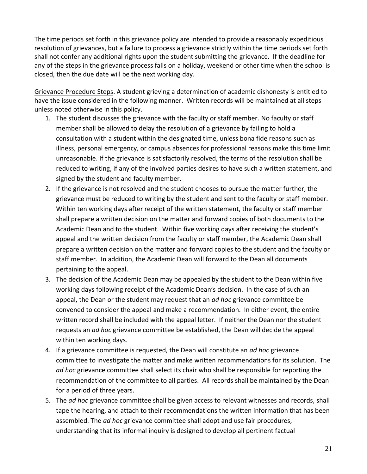The time periods set forth in this grievance policy are intended to provide a reasonably expeditious resolution of grievances, but a failure to process a grievance strictly within the time periods set forth shall not confer any additional rights upon the student submitting the grievance. If the deadline for any of the steps in the grievance process falls on a holiday, weekend or other time when the school is closed, then the due date will be the next working day.

Grievance Procedure Steps. A student grieving a determination of academic dishonesty is entitled to have the issue considered in the following manner. Written records will be maintained at all steps unless noted otherwise in this policy.

- 1. The student discusses the grievance with the faculty or staff member. No faculty or staff member shall be allowed to delay the resolution of a grievance by failing to hold a consultation with a student within the designated time, unless bona fide reasons such as illness, personal emergency, or campus absences for professional reasons make this time limit unreasonable. If the grievance is satisfactorily resolved, the terms of the resolution shall be reduced to writing, if any of the involved parties desires to have such a written statement, and signed by the student and faculty member.
- 2. If the grievance is not resolved and the student chooses to pursue the matter further, the grievance must be reduced to writing by the student and sent to the faculty or staff member. Within ten working days after receipt of the written statement, the faculty or staff member shall prepare a written decision on the matter and forward copies of both documents to the Academic Dean and to the student. Within five working days after receiving the student's appeal and the written decision from the faculty or staff member, the Academic Dean shall prepare a written decision on the matter and forward copies to the student and the faculty or staff member. In addition, the Academic Dean will forward to the Dean all documents pertaining to the appeal.
- 3. The decision of the Academic Dean may be appealed by the student to the Dean within five working days following receipt of the Academic Dean's decision. In the case of such an appeal, the Dean or the student may request that an *ad hoc* grievance committee be convened to consider the appeal and make a recommendation. In either event, the entire written record shall be included with the appeal letter. If neither the Dean nor the student requests an *ad hoc* grievance committee be established, the Dean will decide the appeal within ten working days.
- 4. If a grievance committee is requested, the Dean will constitute an *ad hoc* grievance committee to investigate the matter and make written recommendations for its solution. The *ad hoc* grievance committee shall select its chair who shall be responsible for reporting the recommendation of the committee to all parties. All records shall be maintained by the Dean for a period of three years.
- 5. The *ad hoc* grievance committee shall be given access to relevant witnesses and records, shall tape the hearing, and attach to their recommendations the written information that has been assembled. The *ad hoc* grievance committee shall adopt and use fair procedures, understanding that its informal inquiry is designed to develop all pertinent factual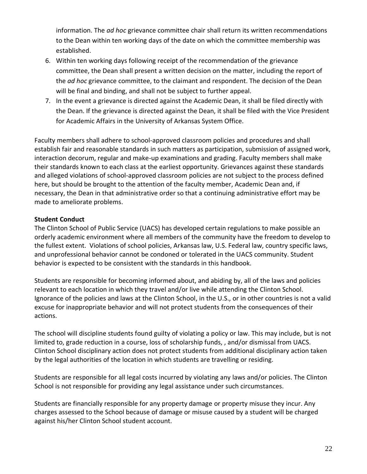information. The *ad hoc* grievance committee chair shall return its written recommendations to the Dean within ten working days of the date on which the committee membership was established.

- 6. Within ten working days following receipt of the recommendation of the grievance committee, the Dean shall present a written decision on the matter, including the report of the *ad hoc* grievance committee, to the claimant and respondent. The decision of the Dean will be final and binding, and shall not be subject to further appeal.
- 7. In the event a grievance is directed against the Academic Dean, it shall be filed directly with the Dean. If the grievance is directed against the Dean, it shall be filed with the Vice President for Academic Affairs in the University of Arkansas System Office.

Faculty members shall adhere to school-approved classroom policies and procedures and shall establish fair and reasonable standards in such matters as participation, submission of assigned work, interaction decorum, regular and make-up examinations and grading. Faculty members shall make their standards known to each class at the earliest opportunity. Grievances against these standards and alleged violations of school-approved classroom policies are not subject to the process defined here, but should be brought to the attention of the faculty member, Academic Dean and, if necessary, the Dean in that administrative order so that a continuing administrative effort may be made to ameliorate problems.

#### **Student Conduct**

The Clinton School of Public Service (UACS) has developed certain regulations to make possible an orderly academic environment where all members of the community have the freedom to develop to the fullest extent. Violations of school policies, Arkansas law, U.S. Federal law, country specific laws, and unprofessional behavior cannot be condoned or tolerated in the UACS community. Student behavior is expected to be consistent with the standards in this handbook.

Students are responsible for becoming informed about, and abiding by, all of the laws and policies relevant to each location in which they travel and/or live while attending the Clinton School. Ignorance of the policies and laws at the Clinton School, in the U.S., or in other countries is not a valid excuse for inappropriate behavior and will not protect students from the consequences of their actions.

The school will discipline students found guilty of violating a policy or law. This may include, but is not limited to, grade reduction in a course, loss of scholarship funds, , and/or dismissal from UACS. Clinton School disciplinary action does not protect students from additional disciplinary action taken by the legal authorities of the location in which students are travelling or residing.

Students are responsible for all legal costs incurred by violating any laws and/or policies. The Clinton School is not responsible for providing any legal assistance under such circumstances.

Students are financially responsible for any property damage or property misuse they incur. Any charges assessed to the School because of damage or misuse caused by a student will be charged against his/her Clinton School student account.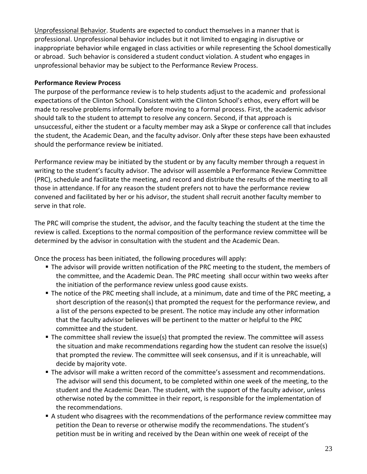Unprofessional Behavior. Students are expected to conduct themselves in a manner that is professional. Unprofessional behavior includes but it not limited to engaging in disruptive or inappropriate behavior while engaged in class activities or while representing the School domestically or abroad. Such behavior is considered a student conduct violation. A student who engages in unprofessional behavior may be subject to the Performance Review Process.

#### **Performance Review Process**

The purpose of the performance review is to help students adjust to the academic and professional expectations of the Clinton School. Consistent with the Clinton School's ethos, every effort will be made to resolve problems informally before moving to a formal process. First, the academic advisor should talk to the student to attempt to resolve any concern. Second, if that approach is unsuccessful, either the student or a faculty member may ask a Skype or conference call that includes the student, the Academic Dean, and the faculty advisor. Only after these steps have been exhausted should the performance review be initiated.

Performance review may be initiated by the student or by any faculty member through a request in writing to the student's faculty advisor. The advisor will assemble a Performance Review Committee (PRC), schedule and facilitate the meeting, and record and distribute the results of the meeting to all those in attendance. If for any reason the student prefers not to have the performance review convened and facilitated by her or his advisor, the student shall recruit another faculty member to serve in that role.

The PRC will comprise the student, the advisor, and the faculty teaching the student at the time the review is called. Exceptions to the normal composition of the performance review committee will be determined by the advisor in consultation with the student and the Academic Dean.

Once the process has been initiated, the following procedures will apply:

- The advisor will provide written notification of the PRC meeting to the student, the members of the committee, and the Academic Dean. The PRC meeting shall occur within two weeks after the initiation of the performance review unless good cause exists.
- The notice of the PRC meeting shall include, at a minimum, date and time of the PRC meeting, a short description of the reason(s) that prompted the request for the performance review, and a list of the persons expected to be present. The notice may include any other information that the faculty advisor believes will be pertinent to the matter or helpful to the PRC committee and the student.
- The committee shall review the issue(s) that prompted the review. The committee will assess the situation and make recommendations regarding how the student can resolve the issue(s) that prompted the review. The committee will seek consensus, and if it is unreachable, will decide by majority vote.
- **The advisor will make a written record of the committee's assessment and recommendations.** The advisor will send this document, to be completed within one week of the meeting, to the student and the Academic Dean. The student, with the support of the faculty advisor, unless otherwise noted by the committee in their report, is responsible for the implementation of the recommendations.
- A student who disagrees with the recommendations of the performance review committee may petition the Dean to reverse or otherwise modify the recommendations. The student's petition must be in writing and received by the Dean within one week of receipt of the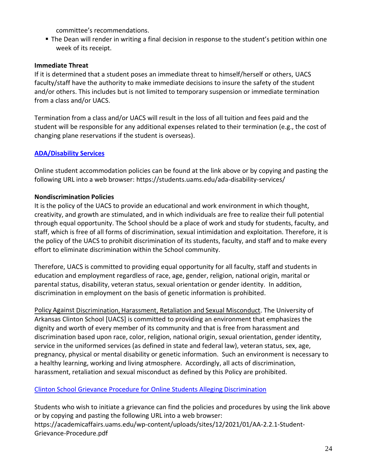committee's recommendations.

■ The Dean will render in writing a final decision in response to the student's petition within one week of its receipt.

#### **Immediate Threat**

If it is determined that a student poses an immediate threat to himself/herself or others, UACS faculty/staff have the authority to make immediate decisions to insure the safety of the student and/or others. This includes but is not limited to temporary suspension or immediate termination from a class and/or UACS.

Termination from a class and/or UACS will result in the loss of all tuition and fees paid and the student will be responsible for any additional expenses related to their termination (e.g., the cost of changing plane reservations if the student is overseas).

#### **[ADA/Disability Services](https://students.uams.edu/ada-disability-services/)**

Online student accommodation policies can be found at the link above or by copying and pasting the following URL into a web browser: https://students.uams.edu/ada-disability-services/

#### **Nondiscrimination Policies**

It is the policy of the UACS to provide an educational and work environment in which thought, creativity, and growth are stimulated, and in which individuals are free to realize their full potential through equal opportunity. The School should be a place of work and study for students, faculty, and staff, which is free of all forms of discrimination, sexual intimidation and exploitation. Therefore, it is the policy of the UACS to prohibit discrimination of its students, faculty, and staff and to make every effort to eliminate discrimination within the School community.

Therefore, UACS is committed to providing equal opportunity for all faculty, staff and students in education and employment regardless of race, age, gender, religion, national origin, marital or parental status, disability, veteran status, sexual orientation or gender identity. In addition, discrimination in employment on the basis of genetic information is prohibited.

Policy Against Discrimination, Harassment, Retaliation and Sexual Misconduct. The University of Arkansas Clinton School [UACS] is committed to providing an environment that emphasizes the dignity and worth of every member of its community and that is free from harassment and discrimination based upon race, color, religion, national origin, sexual orientation, gender identity, service in the uniformed services (as defined in state and federal law), veteran status, sex, age, pregnancy, physical or mental disability or genetic information. Such an environment is necessary to a healthy learning, working and living atmosphere. Accordingly, all acts of discrimination, harassment, retaliation and sexual misconduct as defined by this Policy are prohibited.

#### Clinton School [Grievance Procedure for Online Students Alleging Discrimination](https://academicaffairs.uams.edu/wp-content/uploads/sites/12/2021/01/AA-2.2.1-Student-Grievance-Procedure.pdf)

Students who wish to initiate a grievance can find the policies and procedures by using the link above or by copying and pasting the following URL into a web browser: https://academicaffairs.uams.edu/wp-content/uploads/sites/12/2021/01/AA-2.2.1-Student-Grievance-Procedure.pdf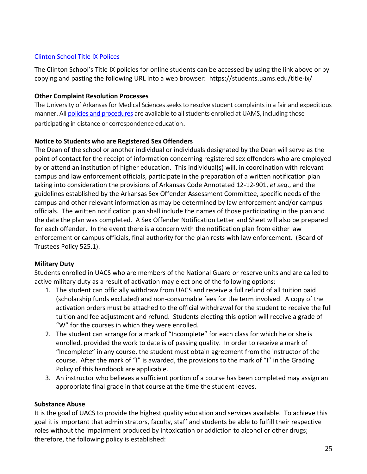# [Clinton School](https://students.uams.edu/title-ix/) Title IX Polices

The Clinton School's Title IX policies for online students can be accessed by using the link above or by copying and pasting the following URL into a web browser: https://students.uams.edu/title-ix/

#### **Other Complaint Resolution Processes**

The University of Arkansas for Medical Sciences seeks to resolve student complaints in a fair and expeditious manner. Al[l policies and procedures](https://academicaffairs.uams.edu/irpa/complaint-resolution-process-information/) are available to all students enrolled at UAMS, including those participating in distance or correspondence education.

# **Notice to Students who are Registered Sex Offenders**

The Dean of the school or another individual or individuals designated by the Dean will serve as the point of contact for the receipt of information concerning registered sex offenders who are employed by or attend an institution of higher education. This individual(s) will, in coordination with relevant campus and law enforcement officials, participate in the preparation of a written notification plan taking into consideration the provisions of Arkansas Code Annotated 12-12-901, *et seq*., and the guidelines established by the Arkansas Sex Offender Assessment Committee, specific needs of the campus and other relevant information as may be determined by law enforcement and/or campus officials. The written notification plan shall include the names of those participating in the plan and the date the plan was completed. A Sex Offender Notification Letter and Sheet will also be prepared for each offender. In the event there is a concern with the notification plan from either law enforcement or campus officials, final authority for the plan rests with law enforcement. (Board of Trustees Policy 525.1).

#### **Military Duty**

Students enrolled in UACS who are members of the National Guard or reserve units and are called to active military duty as a result of activation may elect one of the following options:

- 1. The student can officially withdraw from UACS and receive a full refund of all tuition paid (scholarship funds excluded) and non-consumable fees for the term involved. A copy of the activation orders must be attached to the official withdrawal for the student to receive the full tuition and fee adjustment and refund. Students electing this option will receive a grade of "W" for the courses in which they were enrolled.
- 2. The student can arrange for a mark of "Incomplete" for each class for which he or she is enrolled, provided the work to date is of passing quality. In order to receive a mark of "Incomplete" in any course, the student must obtain agreement from the instructor of the course. After the mark of "I" is awarded, the provisions to the mark of "I" in the Grading Policy of this handbook are applicable.
- 3. An instructor who believes a sufficient portion of a course has been completed may assign an appropriate final grade in that course at the time the student leaves.

# **Substance Abuse**

It is the goal of UACS to provide the highest quality education and services available. To achieve this goal it is important that administrators, faculty, staff and students be able to fulfill their respective roles without the impairment produced by intoxication or addiction to alcohol or other drugs; therefore, the following policy is established: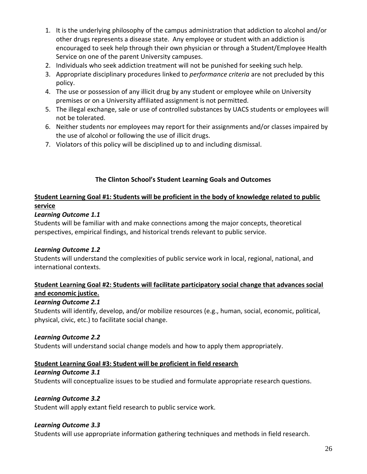- 1. It is the underlying philosophy of the campus administration that addiction to alcohol and/or other drugs represents a disease state. Any employee or student with an addiction is encouraged to seek help through their own physician or through a Student/Employee Health Service on one of the parent University campuses.
- 2. Individuals who seek addiction treatment will not be punished for seeking such help.
- 3. Appropriate disciplinary procedures linked to *performance criteria* are not precluded by this policy.
- 4. The use or possession of any illicit drug by any student or employee while on University premises or on a University affiliated assignment is not permitted.
- 5. The illegal exchange, sale or use of controlled substances by UACS students or employees will not be tolerated.
- 6. Neither students nor employees may report for their assignments and/or classes impaired by the use of alcohol or following the use of illicit drugs.
- 7. Violators of this policy will be disciplined up to and including dismissal.

# **The Clinton School's Student Learning Goals and Outcomes**

# **Student Learning Goal #1: Students will be proficient in the body of knowledge related to public service**

# *Learning Outcome 1.1*

Students will be familiar with and make connections among the major concepts, theoretical perspectives, empirical findings, and historical trends relevant to public service.

# *Learning Outcome 1.2*

Students will understand the complexities of public service work in local, regional, national, and international contexts.

# **Student Learning Goal #2: Students will facilitate participatory social change that advances social and economic justice.**

# *Learning Outcome 2.1*

Students will identify, develop, and/or mobilize resources (e.g., human, social, economic, political, physical, civic, etc.) to facilitate social change.

# *Learning Outcome 2.2*

Students will understand social change models and how to apply them appropriately.

# **Student Learning Goal #3: Student will be proficient in field research**

# *Learning Outcome 3.1*

Students will conceptualize issues to be studied and formulate appropriate research questions.

# *Learning Outcome 3.2*

Student will apply extant field research to public service work.

# *Learning Outcome 3.3*

Students will use appropriate information gathering techniques and methods in field research.